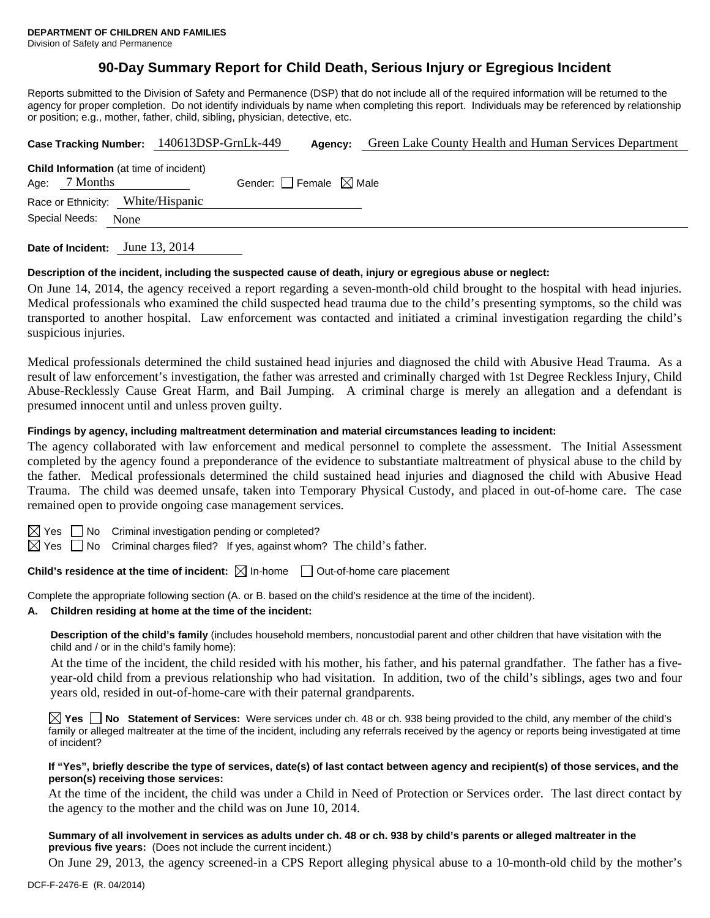# **90-Day Summary Report for Child Death, Serious Injury or Egregious Incident**

Reports submitted to the Division of Safety and Permanence (DSP) that do not include all of the required information will be returned to the agency for proper completion. Do not identify individuals by name when completing this report. Individuals may be referenced by relationship or position; e.g., mother, father, child, sibling, physician, detective, etc.

|                                                                   |      | Case Tracking Number: 140613DSP-GrnLk-449 | Agency:                         | Green Lake County Health and Human Services Department |  |  |  |  |
|-------------------------------------------------------------------|------|-------------------------------------------|---------------------------------|--------------------------------------------------------|--|--|--|--|
| <b>Child Information</b> (at time of incident)<br>Age: $7$ Months |      |                                           | Gender: Female $\boxtimes$ Male |                                                        |  |  |  |  |
| Race or Ethnicity: White/Hispanic                                 |      |                                           |                                 |                                                        |  |  |  |  |
| Special Needs:                                                    | None |                                           |                                 |                                                        |  |  |  |  |
|                                                                   |      |                                           |                                 |                                                        |  |  |  |  |

**Date of Incident:** June 13, 2014

#### **Description of the incident, including the suspected cause of death, injury or egregious abuse or neglect:**

On June 14, 2014, the agency received a report regarding a seven-month-old child brought to the hospital with head injuries. Medical professionals who examined the child suspected head trauma due to the child's presenting symptoms, so the child was transported to another hospital. Law enforcement was contacted and initiated a criminal investigation regarding the child's suspicious injuries.

Medical professionals determined the child sustained head injuries and diagnosed the child with Abusive Head Trauma. As a result of law enforcement's investigation, the father was arrested and criminally charged with 1st Degree Reckless Injury, Child Abuse-Recklessly Cause Great Harm, and Bail Jumping. A criminal charge is merely an allegation and a defendant is presumed innocent until and unless proven guilty.

#### **Findings by agency, including maltreatment determination and material circumstances leading to incident:**

The agency collaborated with law enforcement and medical personnel to complete the assessment. The Initial Assessment completed by the agency found a preponderance of the evidence to substantiate maltreatment of physical abuse to the child by the father. Medical professionals determined the child sustained head injuries and diagnosed the child with Abusive Head Trauma. The child was deemed unsafe, taken into Temporary Physical Custody, and placed in out-of-home care. The case remained open to provide ongoing case management services.

 $\boxtimes$  Yes  $\Box$  No Criminal investigation pending or completed?

 $\boxtimes$  Yes  $\Box$  No Criminal charges filed? If yes, against whom? The child's father.

# **Child's residence at the time of incident:**  $\boxtimes$  In-home  $\Box$  Out-of-home care placement

Complete the appropriate following section (A. or B. based on the child's residence at the time of the incident).

**A. Children residing at home at the time of the incident:**

**Description of the child's family** (includes household members, noncustodial parent and other children that have visitation with the child and / or in the child's family home):

 At the time of the incident, the child resided with his mother, his father, and his paternal grandfather. The father has a fiveyear-old child from a previous relationship who had visitation. In addition, two of the child's siblings, ages two and four years old, resided in out-of-home-care with their paternal grandparents.

**Yes No Statement of Services:** Were services under ch. 48 or ch. 938 being provided to the child, any member of the child's family or alleged maltreater at the time of the incident, including any referrals received by the agency or reports being investigated at time of incident?

#### **If "Yes", briefly describe the type of services, date(s) of last contact between agency and recipient(s) of those services, and the person(s) receiving those services:**

At the time of the incident, the child was under a Child in Need of Protection or Services order. The last direct contact by the agency to the mother and the child was on June 10, 2014.

### **Summary of all involvement in services as adults under ch. 48 or ch. 938 by child's parents or alleged maltreater in the previous five years:** (Does not include the current incident.)

On June 29, 2013, the agency screened-in a CPS Report alleging physical abuse to a 10-month-old child by the mother's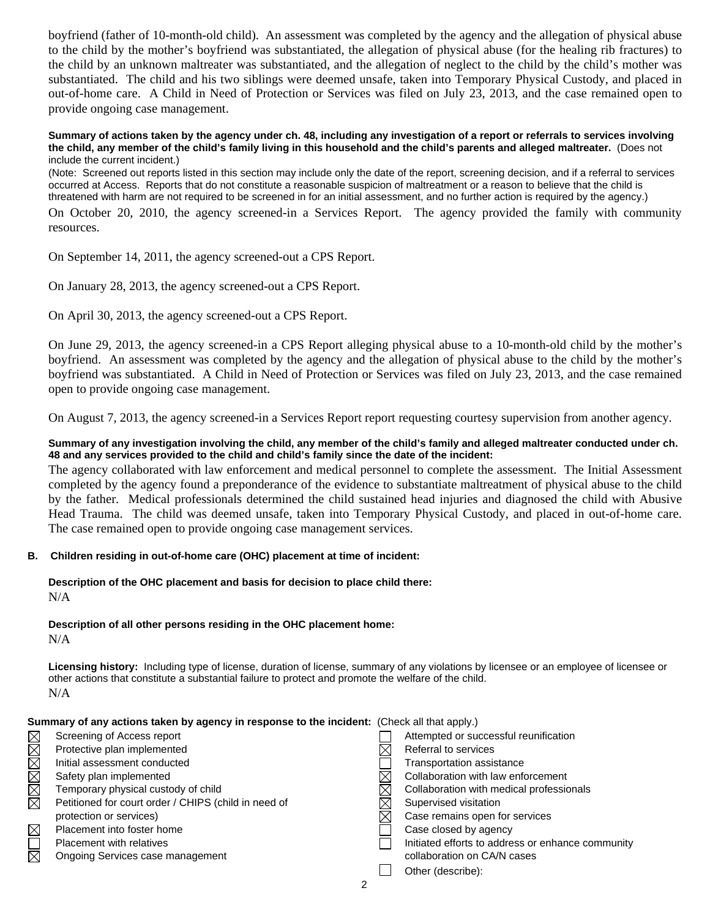boyfriend (father of 10-month-old child). An assessment was completed by the agency and the allegation of physical abuse to the child by the mother's boyfriend was substantiated, the allegation of physical abuse (for the healing rib fractures) to the child by an unknown maltreater was substantiated, and the allegation of neglect to the child by the child's mother was substantiated. The child and his two siblings were deemed unsafe, taken into Temporary Physical Custody, and placed in out-of-home care. A Child in Need of Protection or Services was filed on July 23, 2013, and the case remained open to provide ongoing case management.

#### **Summary of actions taken by the agency under ch. 48, including any investigation of a report or referrals to services involving the child, any member of the child's family living in this household and the child's parents and alleged maltreater.** (Does not include the current incident.)

(Note: Screened out reports listed in this section may include only the date of the report, screening decision, and if a referral to services occurred at Access. Reports that do not constitute a reasonable suspicion of maltreatment or a reason to believe that the child is threatened with harm are not required to be screened in for an initial assessment, and no further action is required by the agency.)

On October 20, 2010, the agency screened-in a Services Report. The agency provided the family with community resources.

On September 14, 2011, the agency screened-out a CPS Report.

On January 28, 2013, the agency screened-out a CPS Report.

On April 30, 2013, the agency screened-out a CPS Report.

On June 29, 2013, the agency screened-in a CPS Report alleging physical abuse to a 10-month-old child by the mother's boyfriend. An assessment was completed by the agency and the allegation of physical abuse to the child by the mother's boyfriend was substantiated. A Child in Need of Protection or Services was filed on July 23, 2013, and the case remained open to provide ongoing case management.

On August 7, 2013, the agency screened-in a Services Report report requesting courtesy supervision from another agency.

## **Summary of any investigation involving the child, any member of the child's family and alleged maltreater conducted under ch. 48 and any services provided to the child and child's family since the date of the incident:**

The agency collaborated with law enforcement and medical personnel to complete the assessment. The Initial Assessment completed by the agency found a preponderance of the evidence to substantiate maltreatment of physical abuse to the child by the father. Medical professionals determined the child sustained head injuries and diagnosed the child with Abusive Head Trauma. The child was deemed unsafe, taken into Temporary Physical Custody, and placed in out-of-home care. The case remained open to provide ongoing case management services.

### **B. Children residing in out-of-home care (OHC) placement at time of incident:**

# **Description of the OHC placement and basis for decision to place child there:** N/A

### **Description of all other persons residing in the OHC placement home:**

 $N/A$ 

**Licensing history:** Including type of license, duration of license, summary of any violations by licensee or an employee of licensee or other actions that constitute a substantial failure to protect and promote the welfare of the child. N/A

|                        | Summary of any actions taken by agency in response to the incident: (Check all that apply.) |  |                                                   |  |
|------------------------|---------------------------------------------------------------------------------------------|--|---------------------------------------------------|--|
| $\boxtimes$            | Screening of Access report                                                                  |  | Attempted or successful reunification             |  |
|                        | Protective plan implemented                                                                 |  | Referral to services                              |  |
|                        | Initial assessment conducted                                                                |  | Transportation assistance                         |  |
| XMXXX                  | Safety plan implemented                                                                     |  | Collaboration with law enforcement                |  |
|                        | Temporary physical custody of child                                                         |  | Collaboration with medical professionals          |  |
|                        | Petitioned for court order / CHIPS (child in need of                                        |  | Supervised visitation                             |  |
|                        | protection or services)                                                                     |  | Case remains open for services                    |  |
| $\boxtimes$            | Placement into foster home                                                                  |  | Case closed by agency                             |  |
| $\Box$                 | <b>Placement with relatives</b>                                                             |  | Initiated efforts to address or enhance community |  |
| $\overline{\boxtimes}$ | Ongoing Services case management                                                            |  | collaboration on CA/N cases                       |  |
|                        |                                                                                             |  | Other (describe):                                 |  |
|                        |                                                                                             |  |                                                   |  |